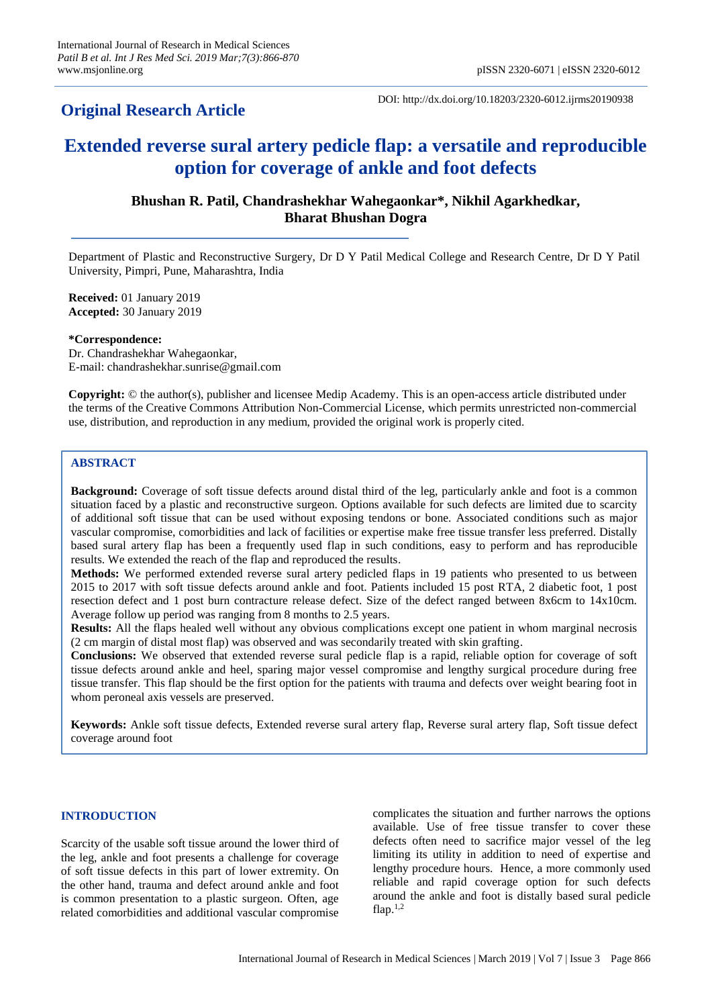## **Original Research Article**

DOI: http://dx.doi.org/10.18203/2320-6012.ijrms20190938

# **Extended reverse sural artery pedicle flap: a versatile and reproducible option for coverage of ankle and foot defects**

## **Bhushan R. Patil, Chandrashekhar Wahegaonkar\*, Nikhil Agarkhedkar, Bharat Bhushan Dogra**

Department of Plastic and Reconstructive Surgery, Dr D Y Patil Medical College and Research Centre, Dr D Y Patil University, Pimpri, Pune, Maharashtra, India

**Received:** 01 January 2019 **Accepted:** 30 January 2019

**\*Correspondence:**

Dr. Chandrashekhar Wahegaonkar, E-mail: chandrashekhar.sunrise@gmail.com

**Copyright:** © the author(s), publisher and licensee Medip Academy. This is an open-access article distributed under the terms of the Creative Commons Attribution Non-Commercial License, which permits unrestricted non-commercial use, distribution, and reproduction in any medium, provided the original work is properly cited.

## **ABSTRACT**

**Background:** Coverage of soft tissue defects around distal third of the leg, particularly ankle and foot is a common situation faced by a plastic and reconstructive surgeon. Options available for such defects are limited due to scarcity of additional soft tissue that can be used without exposing tendons or bone. Associated conditions such as major vascular compromise, comorbidities and lack of facilities or expertise make free tissue transfer less preferred. Distally based sural artery flap has been a frequently used flap in such conditions, easy to perform and has reproducible results. We extended the reach of the flap and reproduced the results.

**Methods:** We performed extended reverse sural artery pedicled flaps in 19 patients who presented to us between 2015 to 2017 with soft tissue defects around ankle and foot. Patients included 15 post RTA, 2 diabetic foot, 1 post resection defect and 1 post burn contracture release defect. Size of the defect ranged between 8x6cm to 14x10cm. Average follow up period was ranging from 8 months to 2.5 years.

**Results:** All the flaps healed well without any obvious complications except one patient in whom marginal necrosis (2 cm margin of distal most flap) was observed and was secondarily treated with skin grafting.

**Conclusions:** We observed that extended reverse sural pedicle flap is a rapid, reliable option for coverage of soft tissue defects around ankle and heel, sparing major vessel compromise and lengthy surgical procedure during free tissue transfer. This flap should be the first option for the patients with trauma and defects over weight bearing foot in whom peroneal axis vessels are preserved.

**Keywords:** Ankle soft tissue defects, Extended reverse sural artery flap, Reverse sural artery flap, Soft tissue defect coverage around foot

#### **INTRODUCTION**

Scarcity of the usable soft tissue around the lower third of the leg, ankle and foot presents a challenge for coverage of soft tissue defects in this part of lower extremity. On the other hand, trauma and defect around ankle and foot is common presentation to a plastic surgeon. Often, age related comorbidities and additional vascular compromise complicates the situation and further narrows the options available. Use of free tissue transfer to cover these defects often need to sacrifice major vessel of the leg limiting its utility in addition to need of expertise and lengthy procedure hours. Hence, a more commonly used reliable and rapid coverage option for such defects around the ankle and foot is distally based sural pedicle flap. $^{1,2}$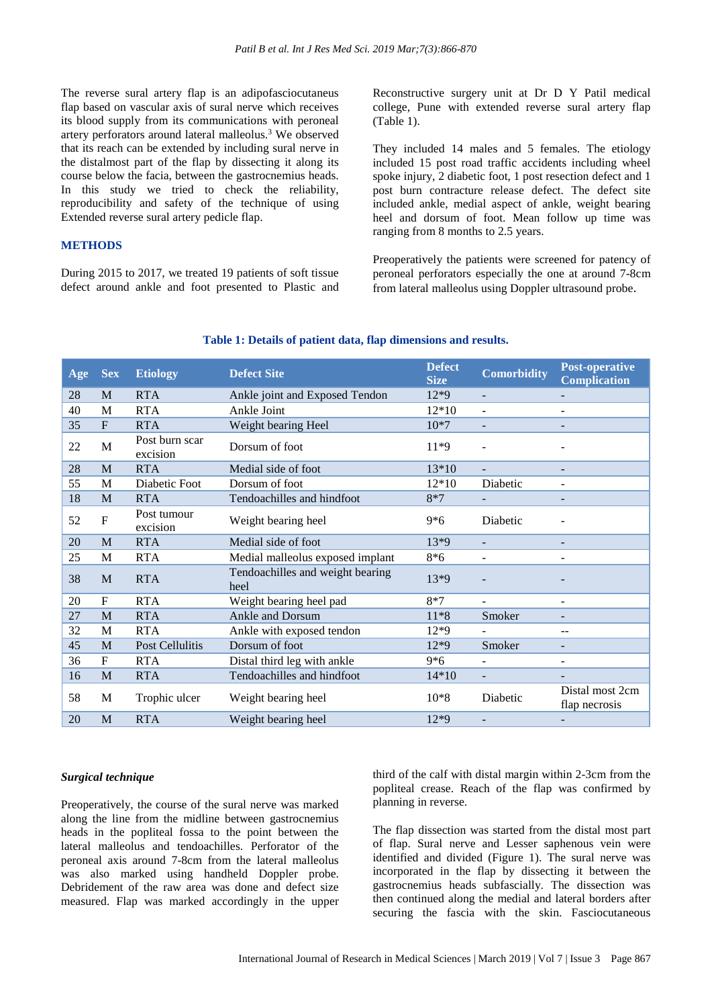The reverse sural artery flap is an adipofasciocutaneus flap based on vascular axis of sural nerve which receives its blood supply from its communications with peroneal artery perforators around lateral malleolus.<sup>3</sup> We observed that its reach can be extended by including sural nerve in the distalmost part of the flap by dissecting it along its course below the facia, between the gastrocnemius heads. In this study we tried to check the reliability, reproducibility and safety of the technique of using Extended reverse sural artery pedicle flap.

## **METHODS**

During 2015 to 2017, we treated 19 patients of soft tissue defect around ankle and foot presented to Plastic and Reconstructive surgery unit at Dr D Y Patil medical college, Pune with extended reverse sural artery flap (Table 1).

They included 14 males and 5 females. The etiology included 15 post road traffic accidents including wheel spoke injury, 2 diabetic foot, 1 post resection defect and 1 post burn contracture release defect. The defect site included ankle, medial aspect of ankle, weight bearing heel and dorsum of foot. Mean follow up time was ranging from 8 months to 2.5 years.

Preoperatively the patients were screened for patency of peroneal perforators especially the one at around 7-8cm from lateral malleolus using Doppler ultrasound probe.

| Age | <b>Sex</b>   | <b>Etiology</b>            | <b>Defect Site</b>                       | <b>Defect</b><br><b>Size</b> | <b>Comorbidity</b>       | <b>Post-operative</b><br><b>Complication</b> |
|-----|--------------|----------------------------|------------------------------------------|------------------------------|--------------------------|----------------------------------------------|
| 28  | M            | <b>RTA</b>                 | Ankle joint and Exposed Tendon           | $12*9$                       | $\overline{a}$           |                                              |
| 40  | M            | <b>RTA</b>                 | Ankle Joint                              | 12*10                        | L,                       |                                              |
| 35  | $F_{\rm}$    | <b>RTA</b>                 | Weight bearing Heel                      | $10*7$                       |                          |                                              |
| 22  | M            | Post burn scar<br>excision | Dorsum of foot                           | 11*9                         |                          |                                              |
| 28  | M            | <b>RTA</b>                 | Medial side of foot                      | 13*10                        | $\overline{a}$           |                                              |
| 55  | M            | Diabetic Foot              | Dorsum of foot                           | 12*10                        | Diabetic                 |                                              |
| 18  | M            | <b>RTA</b>                 | Tendoachilles and hindfoot               | $8*7$                        |                          |                                              |
| 52  | F            | Post tumour<br>excision    | Weight bearing heel                      | $9*6$                        | Diabetic                 |                                              |
| 20  | M            | <b>RTA</b>                 | Medial side of foot                      | 13*9                         |                          |                                              |
| 25  | M            | <b>RTA</b>                 | Medial malleolus exposed implant         | 8*6                          | $\overline{\phantom{a}}$ |                                              |
| 38  | M            | <b>RTA</b>                 | Tendoachilles and weight bearing<br>heel | $13*9$                       |                          |                                              |
| 20  | $\mathbf{F}$ | <b>RTA</b>                 | Weight bearing heel pad                  | $8*7$                        | $\overline{\phantom{a}}$ | $\overline{\phantom{a}}$                     |
| 27  | M            | <b>RTA</b>                 | Ankle and Dorsum                         | $11*8$                       | Smoker                   | $\qquad \qquad \blacksquare$                 |
| 32  | M            | <b>RTA</b>                 | Ankle with exposed tendon                | $12*9$                       |                          | --                                           |
| 45  | M            | Post Cellulitis            | Dorsum of foot                           | $12*9$                       | Smoker                   | $\qquad \qquad \blacksquare$                 |
| 36  | F            | <b>RTA</b>                 | Distal third leg with ankle              | $9*6$                        |                          | $\overline{\phantom{a}}$                     |
| 16  | M            | <b>RTA</b>                 | Tendoachilles and hindfoot               | $14*10$                      | $\overline{a}$           |                                              |
| 58  | M            | Trophic ulcer              | Weight bearing heel                      | $10*8$                       | Diabetic                 | Distal most 2cm<br>flap necrosis             |
| 20  | M            | <b>RTA</b>                 | Weight bearing heel                      | 12*9                         | $\overline{\phantom{0}}$ |                                              |

#### **Table 1: Details of patient data, flap dimensions and results.**

#### *Surgical technique*

Preoperatively, the course of the sural nerve was marked along the line from the midline between gastrocnemius heads in the popliteal fossa to the point between the lateral malleolus and tendoachilles. Perforator of the peroneal axis around 7-8cm from the lateral malleolus was also marked using handheld Doppler probe. Debridement of the raw area was done and defect size measured. Flap was marked accordingly in the upper third of the calf with distal margin within 2-3cm from the popliteal crease. Reach of the flap was confirmed by planning in reverse.

The flap dissection was started from the distal most part of flap. Sural nerve and Lesser saphenous vein were identified and divided (Figure 1). The sural nerve was incorporated in the flap by dissecting it between the gastrocnemius heads subfascially. The dissection was then continued along the medial and lateral borders after securing the fascia with the skin. Fasciocutaneous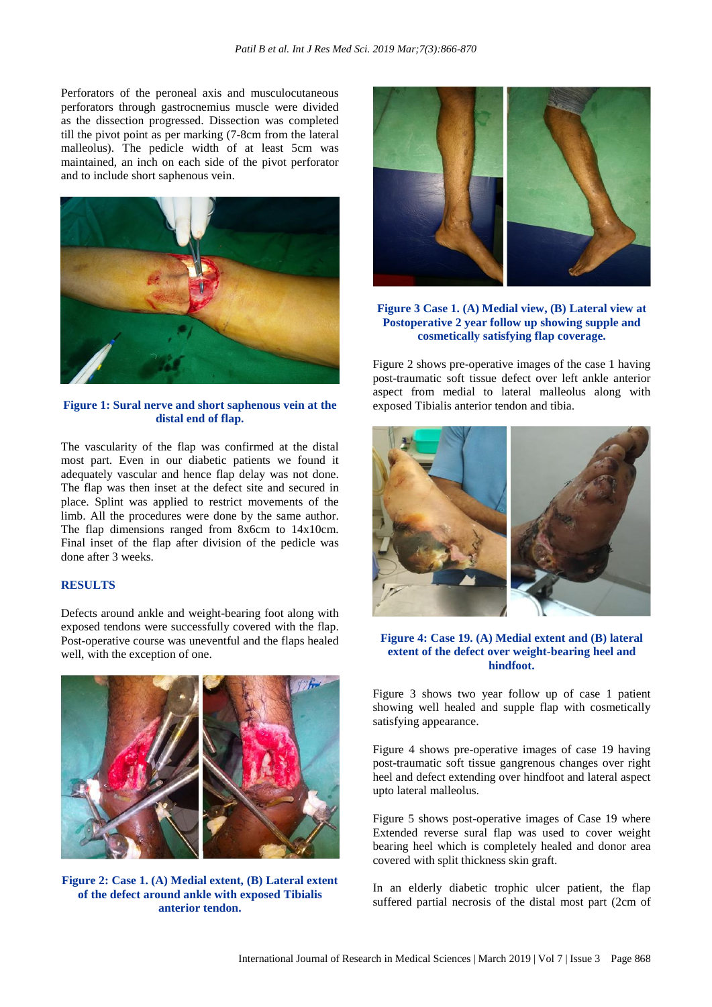Perforators of the peroneal axis and musculocutaneous perforators through gastrocnemius muscle were divided as the dissection progressed. Dissection was completed till the pivot point as per marking (7-8cm from the lateral malleolus). The pedicle width of at least 5cm was maintained, an inch on each side of the pivot perforator and to include short saphenous vein.



**Figure 1: Sural nerve and short saphenous vein at the distal end of flap.**

The vascularity of the flap was confirmed at the distal most part. Even in our diabetic patients we found it adequately vascular and hence flap delay was not done. The flap was then inset at the defect site and secured in place. Splint was applied to restrict movements of the limb. All the procedures were done by the same author. The flap dimensions ranged from 8x6cm to 14x10cm. Final inset of the flap after division of the pedicle was done after 3 weeks.

## **RESULTS**

Defects around ankle and weight-bearing foot along with exposed tendons were successfully covered with the flap. Post-operative course was uneventful and the flaps healed well, with the exception of one.



**Figure 2: Case 1. (A) Medial extent, (B) Lateral extent of the defect around ankle with exposed Tibialis anterior tendon.**



**Figure 3 Case 1. (A) Medial view, (B) Lateral view at Postoperative 2 year follow up showing supple and cosmetically satisfying flap coverage.**

Figure 2 shows pre-operative images of the case 1 having post-traumatic soft tissue defect over left ankle anterior aspect from medial to lateral malleolus along with exposed Tibialis anterior tendon and tibia.



## **Figure 4: Case 19. (A) Medial extent and (B) lateral extent of the defect over weight-bearing heel and hindfoot.**

Figure 3 shows two year follow up of case 1 patient showing well healed and supple flap with cosmetically satisfying appearance.

Figure 4 shows pre-operative images of case 19 having post-traumatic soft tissue gangrenous changes over right heel and defect extending over hindfoot and lateral aspect upto lateral malleolus.

Figure 5 shows post-operative images of Case 19 where Extended reverse sural flap was used to cover weight bearing heel which is completely healed and donor area covered with split thickness skin graft.

In an elderly diabetic trophic ulcer patient, the flap suffered partial necrosis of the distal most part (2cm of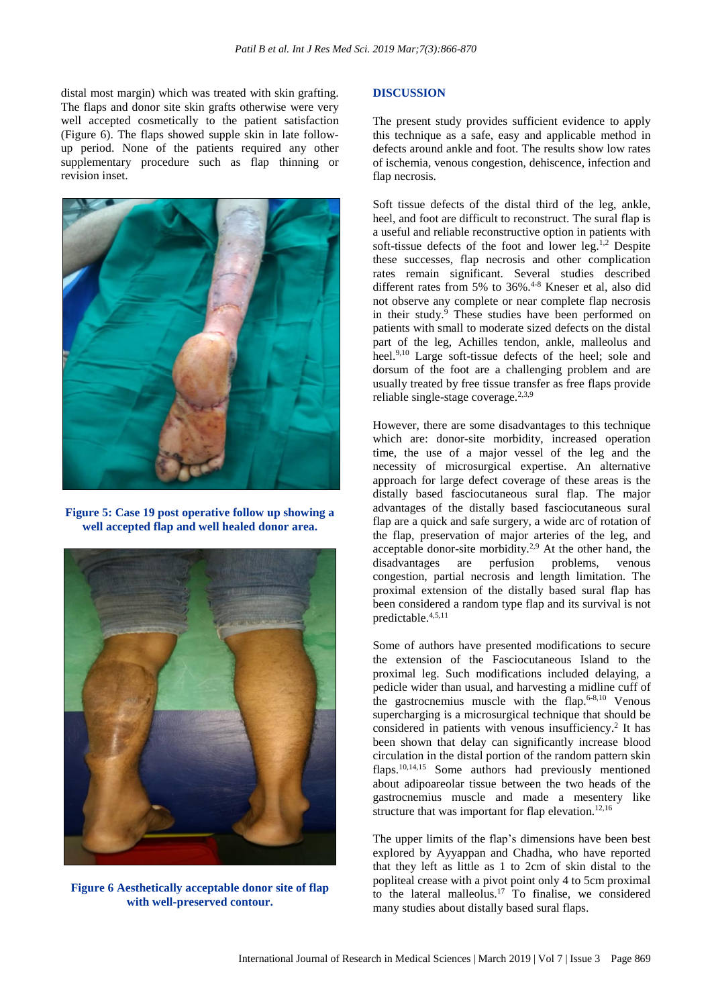distal most margin) which was treated with skin grafting. The flaps and donor site skin grafts otherwise were very well accepted cosmetically to the patient satisfaction (Figure 6). The flaps showed supple skin in late followup period. None of the patients required any other supplementary procedure such as flap thinning or revision inset.



**Figure 5: Case 19 post operative follow up showing a well accepted flap and well healed donor area.**



**Figure 6 Aesthetically acceptable donor site of flap with well-preserved contour.**

#### **DISCUSSION**

The present study provides sufficient evidence to apply this technique as a safe, easy and applicable method in defects around ankle and foot. The results show low rates of ischemia, venous congestion, dehiscence, infection and flap necrosis.

Soft tissue defects of the distal third of the leg, ankle, heel, and foot are difficult to reconstruct. The sural flap is a useful and reliable reconstructive option in patients with soft-tissue defects of the foot and lower leg.<sup>1,2</sup> Despite these successes, flap necrosis and other complication rates remain significant. Several studies described different rates from 5% to 36%.<sup>4-8</sup> Kneser et al, also did not observe any complete or near complete flap necrosis in their study.<sup>9</sup> These studies have been performed on patients with small to moderate sized defects on the distal part of the leg, Achilles tendon, ankle, malleolus and heel.<sup>9,10</sup> Large soft-tissue defects of the heel; sole and dorsum of the foot are a challenging problem and are usually treated by free tissue transfer as free flaps provide reliable single-stage coverage. $2,3,9$ 

However, there are some disadvantages to this technique which are: donor-site morbidity, increased operation time, the use of a major vessel of the leg and the necessity of microsurgical expertise. An alternative approach for large defect coverage of these areas is the distally based fasciocutaneous sural flap. The major advantages of the distally based fasciocutaneous sural flap are a quick and safe surgery, a wide arc of rotation of the flap, preservation of major arteries of the leg, and acceptable donor-site morbidity.<sup>2,9</sup> At the other hand, the disadvantages are perfusion problems, venous congestion, partial necrosis and length limitation. The proximal extension of the distally based sural flap has been considered a random type flap and its survival is not predictable.4,5,11

Some of authors have presented modifications to secure the extension of the Fasciocutaneous Island to the proximal leg. Such modifications included delaying, a pedicle wider than usual, and harvesting a midline cuff of the gastrocnemius muscle with the flap. 6-8,10 Venous supercharging is a microsurgical technique that should be considered in patients with venous insufficiency. 2 It has been shown that delay can significantly increase blood circulation in the distal portion of the random pattern skin flaps.<sup>10,14,15</sup> Some authors had previously mentioned about adipoareolar tissue between the two heads of the gastrocnemius muscle and made a mesentery like structure that was important for flap elevation.<sup>12,16</sup>

The upper limits of the flap's dimensions have been best explored by Ayyappan and Chadha, who have reported that they left as little as 1 to 2cm of skin distal to the popliteal crease with a pivot point only 4 to 5cm proximal to the lateral malleolus.<sup>17</sup> To finalise, we considered many studies about distally based sural flaps.